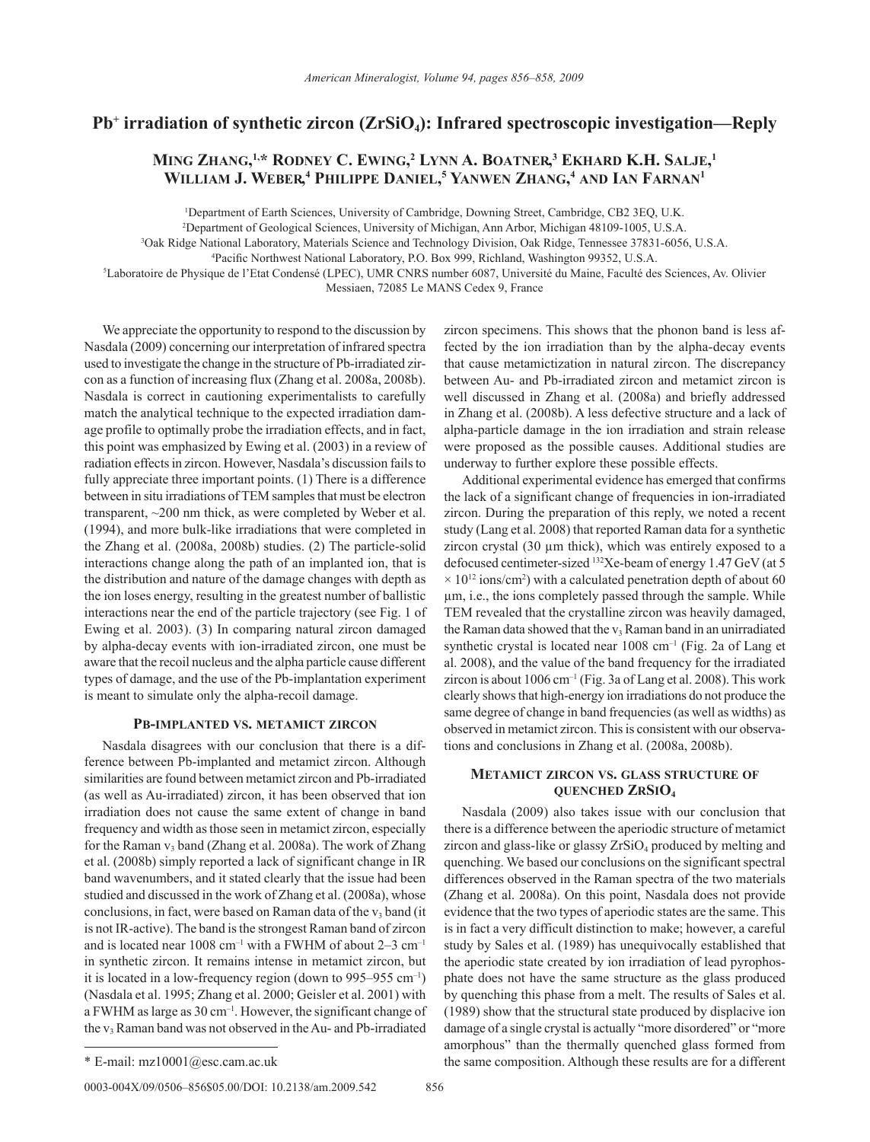# Pb<sup>+</sup> irradiation of synthetic zircon (ZrSiO<sub>4</sub>): Infrared spectroscopic investigation—Reply

## **Ming Zhang, 1,\* Rodney C. Ewing, 2 Lynn A. Boatner, <sup>3</sup> Ekhard K.H. Salje, 1 William J. Weber, 4 Philippe Daniel, <sup>5</sup> Yanwen Zhang, <sup>4</sup> and Ian Farnan1**

1 Department of Earth Sciences, University of Cambridge, Downing Street, Cambridge, CB2 3EQ, U.K.

2 Department of Geological Sciences, University of Michigan, Ann Arbor, Michigan 48109-1005, U.S.A.

3 Oak Ridge National Laboratory, Materials Science and Technology Division, Oak Ridge, Tennessee 37831-6056, U.S.A.

4 Pacific Northwest National Laboratory, P.O. Box 999, Richland, Washington 99352, U.S.A.

5 Laboratoire de Physique de l'Etat Condensé (LPEC), UMR CNRS number 6087, Université du Maine, Faculté des Sciences, Av. Olivier Messiaen, 72085 Le MANS Cedex 9, France

We appreciate the opportunity to respond to the discussion by Nasdala (2009) concerning our interpretation of infrared spectra used to investigate the change in the structure of Pb-irradiated zircon as a function of increasing flux (Zhang et al. 2008a, 2008b). Nasdala is correct in cautioning experimentalists to carefully match the analytical technique to the expected irradiation damage profile to optimally probe the irradiation effects, and in fact, this point was emphasized by Ewing et al. (2003) in a review of radiation effects in zircon. However, Nasdala's discussion fails to fully appreciate three important points. (1) There is a difference between in situ irradiations of TEM samples that must be electron transparent, ~200 nm thick, as were completed by Weber et al. (1994), and more bulk-like irradiations that were completed in the Zhang et al. (2008a, 2008b) studies. (2) The particle-solid interactions change along the path of an implanted ion, that is the distribution and nature of the damage changes with depth as the ion loses energy, resulting in the greatest number of ballistic interactions near the end of the particle trajectory (see Fig. 1 of Ewing et al. 2003). (3) In comparing natural zircon damaged by alpha-decay events with ion-irradiated zircon, one must be aware that the recoil nucleus and the alpha particle cause different types of damage, and the use of the Pb-implantation experiment is meant to simulate only the alpha-recoil damage.

### **Pb-implanted vs. metamict zircon**

Nasdala disagrees with our conclusion that there is a difference between Pb-implanted and metamict zircon. Although similarities are found between metamict zircon and Pb-irradiated (as well as Au-irradiated) zircon, it has been observed that ion irradiation does not cause the same extent of change in band frequency and width as those seen in metamict zircon, especially for the Raman  $v_3$  band (Zhang et al. 2008a). The work of Zhang et al. (2008b) simply reported a lack of significant change in IR band wavenumbers, and it stated clearly that the issue had been studied and discussed in the work of Zhang et al. (2008a), whose conclusions, in fact, were based on Raman data of the  $v_3$  band (it is not IR-active). The band is the strongest Raman band of zircon and is located near 1008 cm<sup>-1</sup> with a FWHM of about  $2-3$  cm<sup>-1</sup> in synthetic zircon. It remains intense in metamict zircon, but it is located in a low-frequency region (down to 995–955 cm–1) (Nasdala et al. 1995; Zhang et al. 2000; Geisler et al. 2001) with a FWHM as large as 30 cm–1. However, the significant change of the v<sub>3</sub> Raman band was not observed in the Au- and Pb-irradiated

0003-004X/09/0506-856\$05.00/DOI: 10.2138/am.2009.542 856

zircon specimens. This shows that the phonon band is less affected by the ion irradiation than by the alpha-decay events that cause metamictization in natural zircon. The discrepancy between Au- and Pb-irradiated zircon and metamict zircon is well discussed in Zhang et al. (2008a) and briefly addressed in Zhang et al. (2008b). A less defective structure and a lack of alpha-particle damage in the ion irradiation and strain release were proposed as the possible causes. Additional studies are underway to further explore these possible effects.

Additional experimental evidence has emerged that confirms the lack of a significant change of frequencies in ion-irradiated zircon. During the preparation of this reply, we noted a recent study (Lang et al. 2008) that reported Raman data for a synthetic zircon crystal (30 µm thick), which was entirely exposed to a defocused centimeter-sized 132Xe-beam of energy 1.47 GeV (at 5  $\times$  10<sup>12</sup> ions/cm<sup>2</sup>) with a calculated penetration depth of about 60 µm, i.e., the ions completely passed through the sample. While TEM revealed that the crystalline zircon was heavily damaged, the Raman data showed that the  $v_3$  Raman band in an unirradiated synthetic crystal is located near  $1008 \text{ cm}^{-1}$  (Fig. 2a of Lang et al. 2008), and the value of the band frequency for the irradiated zircon is about  $1006 \text{ cm}^{-1}$  (Fig. 3a of Lang et al. 2008). This work clearly shows that high-energy ion irradiations do not produce the same degree of change in band frequencies (as well as widths) as observed in metamict zircon. This is consistent with our observations and conclusions in Zhang et al. (2008a, 2008b).

### **Metamict zircon vs. glass structure of quenched ZrSiO4**

Nasdala (2009) also takes issue with our conclusion that there is a difference between the aperiodic structure of metamict zircon and glass-like or glassy  $ZrSiO<sub>4</sub>$  produced by melting and quenching. We based our conclusions on the significant spectral differences observed in the Raman spectra of the two materials (Zhang et al. 2008a). On this point, Nasdala does not provide evidence that the two types of aperiodic states are the same. This is in fact a very difficult distinction to make; however, a careful study by Sales et al. (1989) has unequivocally established that the aperiodic state created by ion irradiation of lead pyrophosphate does not have the same structure as the glass produced by quenching this phase from a melt. The results of Sales et al. (1989) show that the structural state produced by displacive ion damage of a single crystal is actually "more disordered" or "more amorphous" than the thermally quenched glass formed from \* E-mail: mz10001@esc.cam.ac.uk the same composition. Although these results are for a different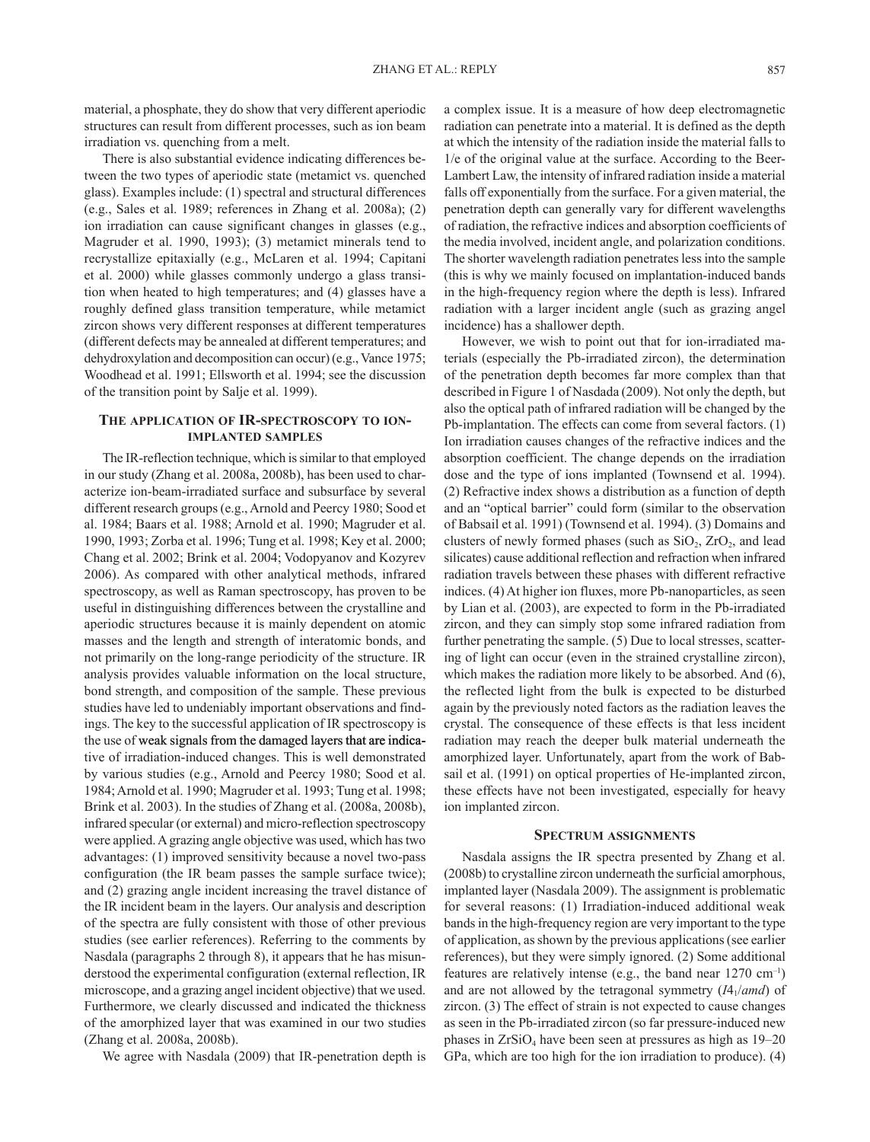material, a phosphate, they do show that very different aperiodic structures can result from different processes, such as ion beam irradiation vs. quenching from a melt.

There is also substantial evidence indicating differences between the two types of aperiodic state (metamict vs. quenched glass). Examples include: (1) spectral and structural differences (e.g., Sales et al. 1989; references in Zhang et al. 2008a); (2) ion irradiation can cause significant changes in glasses (e.g., Magruder et al. 1990, 1993); (3) metamict minerals tend to recrystallize epitaxially (e.g., McLaren et al. 1994; Capitani et al. 2000) while glasses commonly undergo a glass transition when heated to high temperatures; and (4) glasses have a roughly defined glass transition temperature, while metamict zircon shows very different responses at different temperatures (different defects may be annealed at different temperatures; and dehydroxylation and decomposition can occur) (e.g., Vance 1975; Woodhead et al. 1991; Ellsworth et al. 1994; see the discussion of the transition point by Salje et al. 1999).

### **The application of IR-spectroscopy to ionimplanted samples**

The IR-reflection technique, which is similar to that employed in our study (Zhang et al. 2008a, 2008b), has been used to characterize ion-beam-irradiated surface and subsurface by several different research groups (e.g., Arnold and Peercy 1980; Sood et al. 1984; Baars et al. 1988; Arnold et al. 1990; Magruder et al. 1990, 1993; Zorba et al. 1996; Tung et al. 1998; Key et al. 2000; Chang et al. 2002; Brink et al. 2004; Vodopyanov and Kozyrev 2006). As compared with other analytical methods, infrared spectroscopy, as well as Raman spectroscopy, has proven to be useful in distinguishing differences between the crystalline and aperiodic structures because it is mainly dependent on atomic masses and the length and strength of interatomic bonds, and not primarily on the long-range periodicity of the structure. IR analysis provides valuable information on the local structure, bond strength, and composition of the sample. These previous studies have led to undeniably important observations and findings. The key to the successful application of IR spectroscopy is the use of weak signals from the damaged layers that are indicative of irradiation-induced changes. This is well demonstrated by various studies (e.g., Arnold and Peercy 1980; Sood et al. 1984; Arnold et al. 1990; Magruder et al. 1993; Tung et al. 1998; Brink et al. 2003). In the studies of Zhang et al. (2008a, 2008b), infrared specular (or external) and micro-reflection spectroscopy were applied. A grazing angle objective was used, which has two advantages: (1) improved sensitivity because a novel two-pass configuration (the IR beam passes the sample surface twice); and (2) grazing angle incident increasing the travel distance of the IR incident beam in the layers. Our analysis and description of the spectra are fully consistent with those of other previous studies (see earlier references). Referring to the comments by Nasdala (paragraphs 2 through 8), it appears that he has misunderstood the experimental configuration (external reflection, IR microscope, and a grazing angel incident objective) that we used. Furthermore, we clearly discussed and indicated the thickness of the amorphized layer that was examined in our two studies (Zhang et al. 2008a, 2008b).

We agree with Nasdala (2009) that IR-penetration depth is

a complex issue. It is a measure of how deep electromagnetic radiation can penetrate into a material. It is defined as the depth at which the intensity of the radiation inside the material falls to 1/e of the original value at the surface. According to the Beer-Lambert Law, the intensity of infrared radiation inside a material falls off exponentially from the surface. For a given material, the penetration depth can generally vary for different wavelengths of radiation, the refractive indices and absorption coefficients of the media involved, incident angle, and polarization conditions. The shorter wavelength radiation penetrates less into the sample (this is why we mainly focused on implantation-induced bands in the high-frequency region where the depth is less). Infrared radiation with a larger incident angle (such as grazing angel incidence) has a shallower depth.

However, we wish to point out that for ion-irradiated materials (especially the Pb-irradiated zircon), the determination of the penetration depth becomes far more complex than that described in Figure 1 of Nasdada (2009). Not only the depth, but also the optical path of infrared radiation will be changed by the Pb-implantation. The effects can come from several factors. (1) Ion irradiation causes changes of the refractive indices and the absorption coefficient. The change depends on the irradiation dose and the type of ions implanted (Townsend et al. 1994). (2) Refractive index shows a distribution as a function of depth and an "optical barrier" could form (similar to the observation of Babsail et al. 1991) (Townsend et al. 1994). (3) Domains and clusters of newly formed phases (such as  $SiO<sub>2</sub>$ ,  $ZrO<sub>2</sub>$ , and lead silicates) cause additional reflection and refraction when infrared radiation travels between these phases with different refractive indices. (4) At higher ion fluxes, more Pb-nanoparticles, as seen by Lian et al. (2003), are expected to form in the Pb-irradiated zircon, and they can simply stop some infrared radiation from further penetrating the sample. (5) Due to local stresses, scattering of light can occur (even in the strained crystalline zircon), which makes the radiation more likely to be absorbed. And (6), the reflected light from the bulk is expected to be disturbed again by the previously noted factors as the radiation leaves the crystal. The consequence of these effects is that less incident radiation may reach the deeper bulk material underneath the amorphized layer. Unfortunately, apart from the work of Babsail et al. (1991) on optical properties of He-implanted zircon, these effects have not been investigated, especially for heavy ion implanted zircon.

### **Spectrum assignments**

Nasdala assigns the IR spectra presented by Zhang et al. (2008b) to crystalline zircon underneath the surficial amorphous, implanted layer (Nasdala 2009). The assignment is problematic for several reasons: (1) Irradiation-induced additional weak bands in the high-frequency region are very important to the type of application, as shown by the previous applications (see earlier references), but they were simply ignored. (2) Some additional features are relatively intense (e.g., the band near  $1270 \text{ cm}^{-1}$ ) and are not allowed by the tetragonal symmetry  $(I4_1/amd)$  of zircon. (3) The effect of strain is not expected to cause changes as seen in the Pb-irradiated zircon (so far pressure-induced new phases in  $ZrSiO<sub>4</sub>$  have been seen at pressures as high as  $19–20$ GPa, which are too high for the ion irradiation to produce). (4)